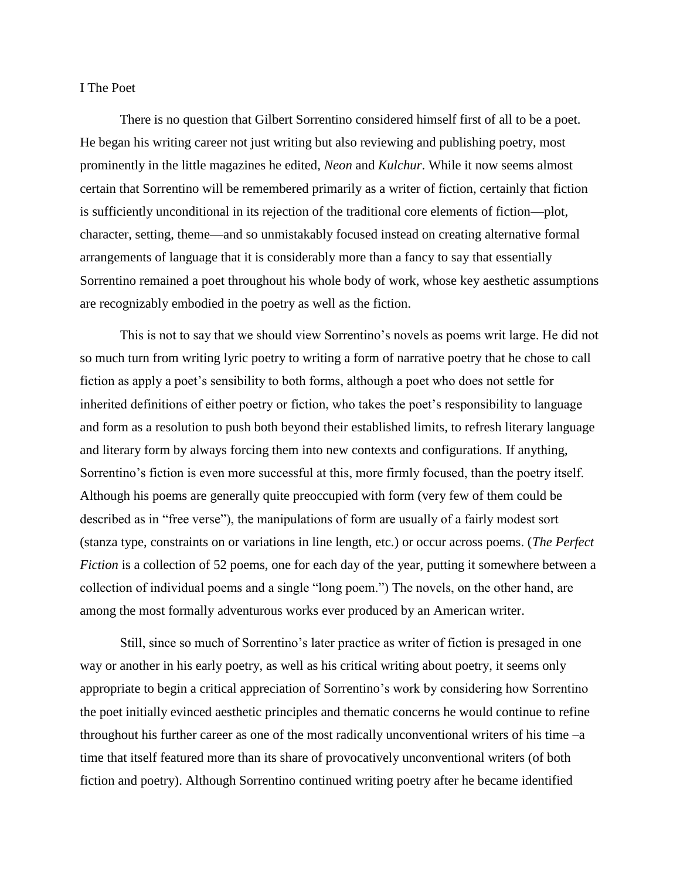## I The Poet

There is no question that Gilbert Sorrentino considered himself first of all to be a poet. He began his writing career not just writing but also reviewing and publishing poetry, most prominently in the little magazines he edited, *Neon* and *Kulchur*. While it now seems almost certain that Sorrentino will be remembered primarily as a writer of fiction, certainly that fiction is sufficiently unconditional in its rejection of the traditional core elements of fiction—plot, character, setting, theme—and so unmistakably focused instead on creating alternative formal arrangements of language that it is considerably more than a fancy to say that essentially Sorrentino remained a poet throughout his whole body of work, whose key aesthetic assumptions are recognizably embodied in the poetry as well as the fiction.

This is not to say that we should view Sorrentino's novels as poems writ large. He did not so much turn from writing lyric poetry to writing a form of narrative poetry that he chose to call fiction as apply a poet's sensibility to both forms, although a poet who does not settle for inherited definitions of either poetry or fiction, who takes the poet's responsibility to language and form as a resolution to push both beyond their established limits, to refresh literary language and literary form by always forcing them into new contexts and configurations. If anything, Sorrentino's fiction is even more successful at this, more firmly focused, than the poetry itself. Although his poems are generally quite preoccupied with form (very few of them could be described as in "free verse"), the manipulations of form are usually of a fairly modest sort (stanza type, constraints on or variations in line length, etc.) or occur across poems. (*The Perfect Fiction* is a collection of 52 poems, one for each day of the year, putting it somewhere between a collection of individual poems and a single "long poem.") The novels, on the other hand, are among the most formally adventurous works ever produced by an American writer.

Still, since so much of Sorrentino's later practice as writer of fiction is presaged in one way or another in his early poetry, as well as his critical writing about poetry, it seems only appropriate to begin a critical appreciation of Sorrentino's work by considering how Sorrentino the poet initially evinced aesthetic principles and thematic concerns he would continue to refine throughout his further career as one of the most radically unconventional writers of his time –a time that itself featured more than its share of provocatively unconventional writers (of both fiction and poetry). Although Sorrentino continued writing poetry after he became identified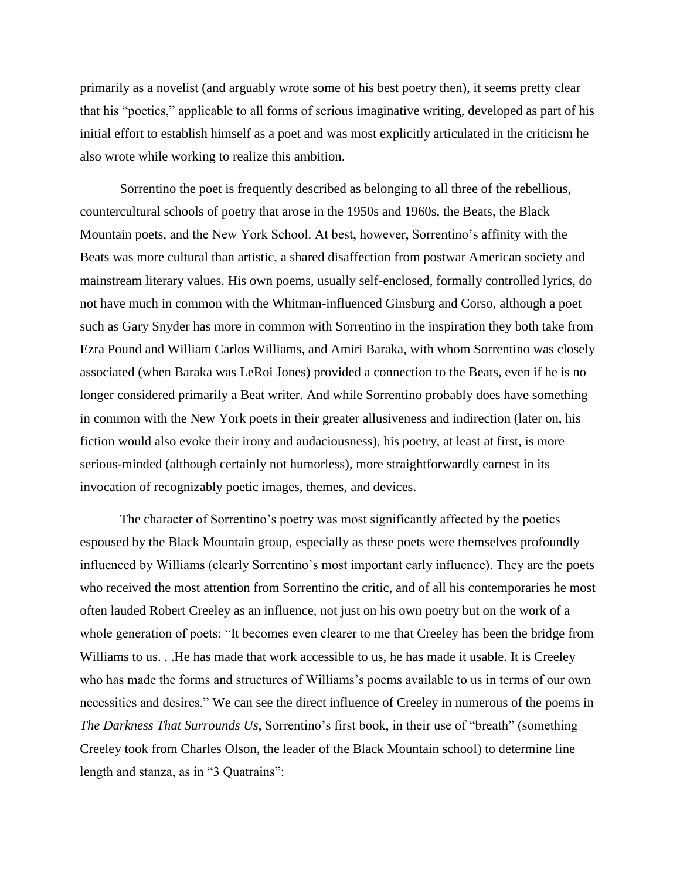primarily as a novelist (and arguably wrote some of his best poetry then), it seems pretty clear that his "poetics," applicable to all forms of serious imaginative writing, developed as part of his initial effort to establish himself as a poet and was most explicitly articulated in the criticism he also wrote while working to realize this ambition.

Sorrentino the poet is frequently described as belonging to all three of the rebellious, countercultural schools of poetry that arose in the 1950s and 1960s, the Beats, the Black Mountain poets, and the New York School. At best, however, Sorrentino's affinity with the Beats was more cultural than artistic, a shared disaffection from postwar American society and mainstream literary values. His own poems, usually self-enclosed, formally controlled lyrics, do not have much in common with the Whitman-influenced Ginsburg and Corso, although a poet such as Gary Snyder has more in common with Sorrentino in the inspiration they both take from Ezra Pound and William Carlos Williams, and Amiri Baraka, with whom Sorrentino was closely associated (when Baraka was LeRoi Jones) provided a connection to the Beats, even if he is no longer considered primarily a Beat writer. And while Sorrentino probably does have something in common with the New York poets in their greater allusiveness and indirection (later on, his fiction would also evoke their irony and audaciousness), his poetry, at least at first, is more serious-minded (although certainly not humorless), more straightforwardly earnest in its invocation of recognizably poetic images, themes, and devices.

The character of Sorrentino's poetry was most significantly affected by the poetics espoused by the Black Mountain group, especially as these poets were themselves profoundly influenced by Williams (clearly Sorrentino's most important early influence). They are the poets who received the most attention from Sorrentino the critic, and of all his contemporaries he most often lauded Robert Creeley as an influence, not just on his own poetry but on the work of a whole generation of poets: "It becomes even clearer to me that Creeley has been the bridge from Williams to us. . . He has made that work accessible to us, he has made it usable. It is Creeley who has made the forms and structures of Williams's poems available to us in terms of our own necessities and desires." We can see the direct influence of Creeley in numerous of the poems in *The Darkness That Surrounds Us*, Sorrentino's first book, in their use of "breath" (something Creeley took from Charles Olson, the leader of the Black Mountain school) to determine line length and stanza, as in "3 Quatrains":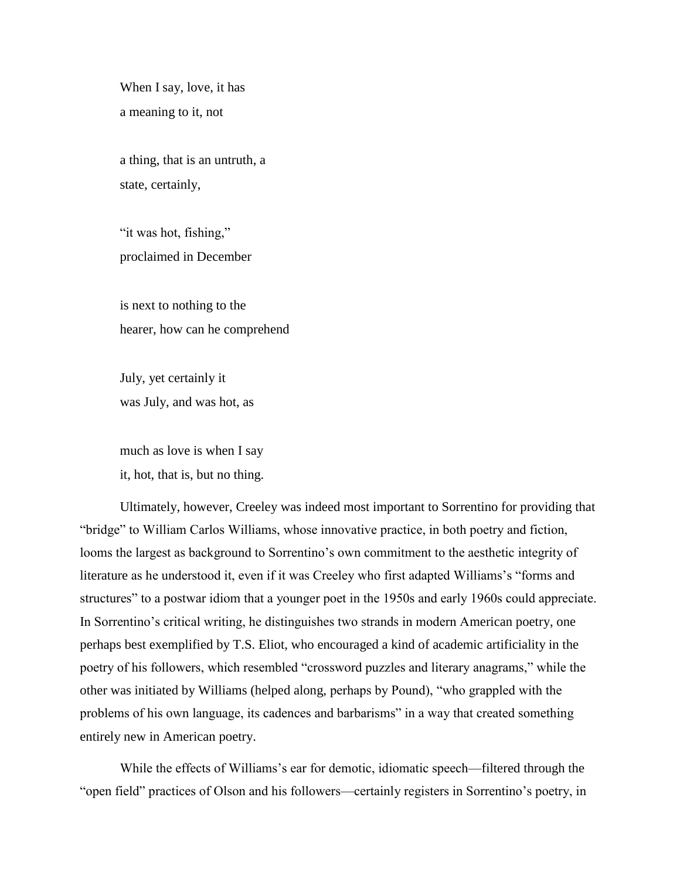When I say, love, it has a meaning to it, not

a thing, that is an untruth, a state, certainly,

"it was hot, fishing," proclaimed in December

is next to nothing to the hearer, how can he comprehend

July, yet certainly it was July, and was hot, as

much as love is when I say it, hot, that is, but no thing.

Ultimately, however, Creeley was indeed most important to Sorrentino for providing that "bridge" to William Carlos Williams, whose innovative practice, in both poetry and fiction, looms the largest as background to Sorrentino's own commitment to the aesthetic integrity of literature as he understood it, even if it was Creeley who first adapted Williams's "forms and structures" to a postwar idiom that a younger poet in the 1950s and early 1960s could appreciate. In Sorrentino's critical writing, he distinguishes two strands in modern American poetry, one perhaps best exemplified by T.S. Eliot, who encouraged a kind of academic artificiality in the poetry of his followers, which resembled "crossword puzzles and literary anagrams," while the other was initiated by Williams (helped along, perhaps by Pound), "who grappled with the problems of his own language, its cadences and barbarisms" in a way that created something entirely new in American poetry.

While the effects of Williams's ear for demotic, idiomatic speech—filtered through the "open field" practices of Olson and his followers—certainly registers in Sorrentino's poetry, in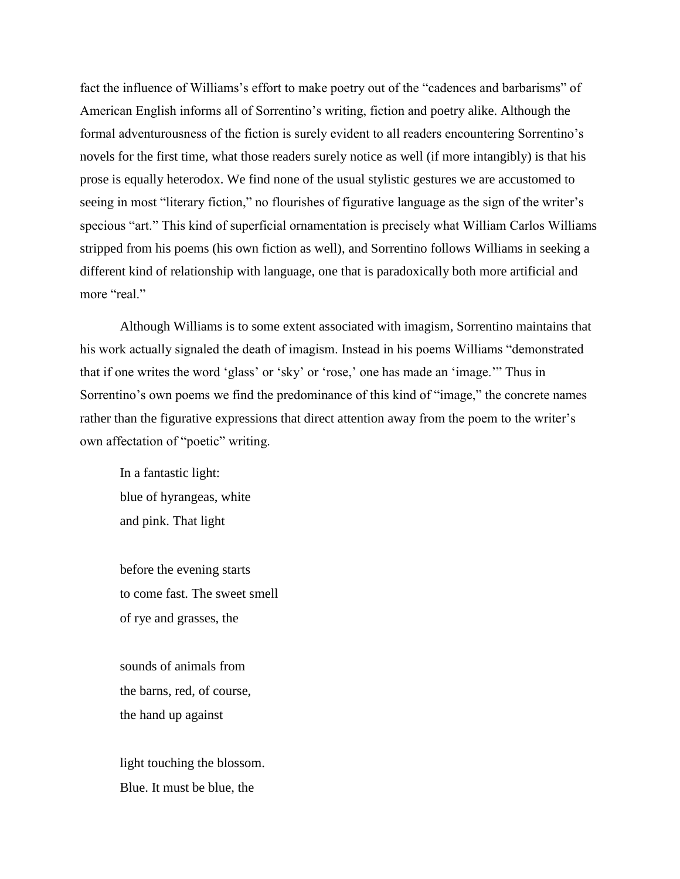fact the influence of Williams's effort to make poetry out of the "cadences and barbarisms" of American English informs all of Sorrentino's writing, fiction and poetry alike. Although the formal adventurousness of the fiction is surely evident to all readers encountering Sorrentino's novels for the first time, what those readers surely notice as well (if more intangibly) is that his prose is equally heterodox. We find none of the usual stylistic gestures we are accustomed to seeing in most "literary fiction," no flourishes of figurative language as the sign of the writer's specious "art." This kind of superficial ornamentation is precisely what William Carlos Williams stripped from his poems (his own fiction as well), and Sorrentino follows Williams in seeking a different kind of relationship with language, one that is paradoxically both more artificial and more "real."

Although Williams is to some extent associated with imagism, Sorrentino maintains that his work actually signaled the death of imagism. Instead in his poems Williams "demonstrated that if one writes the word 'glass' or 'sky' or 'rose,' one has made an 'image.'" Thus in Sorrentino's own poems we find the predominance of this kind of "image," the concrete names rather than the figurative expressions that direct attention away from the poem to the writer's own affectation of "poetic" writing.

In a fantastic light: blue of hyrangeas, white and pink. That light

before the evening starts to come fast. The sweet smell of rye and grasses, the

sounds of animals from the barns, red, of course, the hand up against

light touching the blossom. Blue. It must be blue, the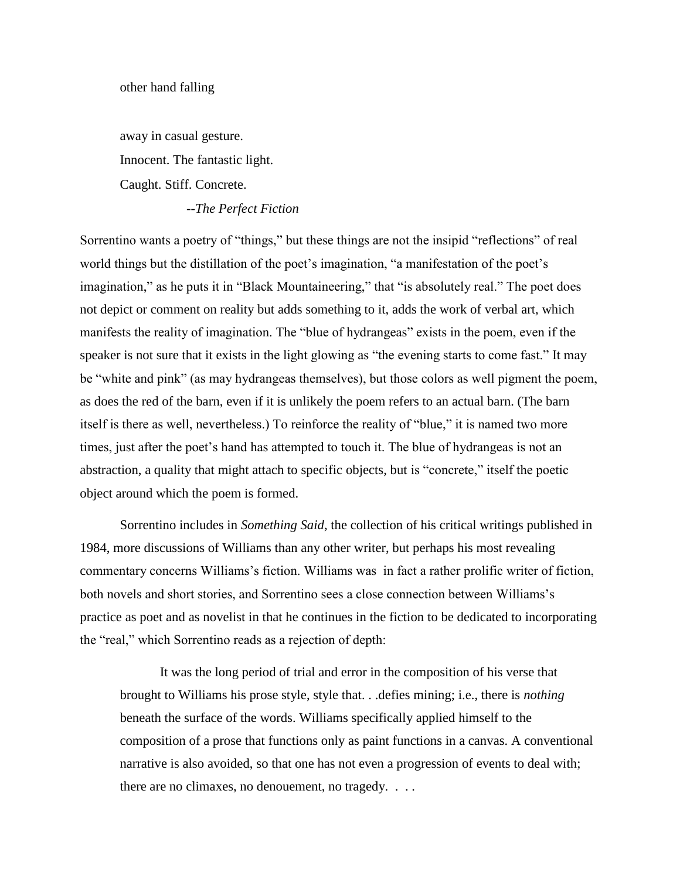away in casual gesture. Innocent. The fantastic light. Caught. Stiff. Concrete.

--*The Perfect Fiction*

Sorrentino wants a poetry of "things," but these things are not the insipid "reflections" of real world things but the distillation of the poet's imagination, "a manifestation of the poet's imagination," as he puts it in "Black Mountaineering," that "is absolutely real." The poet does not depict or comment on reality but adds something to it, adds the work of verbal art, which manifests the reality of imagination. The "blue of hydrangeas" exists in the poem, even if the speaker is not sure that it exists in the light glowing as "the evening starts to come fast." It may be "white and pink" (as may hydrangeas themselves), but those colors as well pigment the poem, as does the red of the barn, even if it is unlikely the poem refers to an actual barn. (The barn itself is there as well, nevertheless.) To reinforce the reality of "blue," it is named two more times, just after the poet's hand has attempted to touch it. The blue of hydrangeas is not an abstraction, a quality that might attach to specific objects, but is "concrete," itself the poetic object around which the poem is formed.

Sorrentino includes in *Something Said*, the collection of his critical writings published in 1984, more discussions of Williams than any other writer, but perhaps his most revealing commentary concerns Williams's fiction. Williams was in fact a rather prolific writer of fiction, both novels and short stories, and Sorrentino sees a close connection between Williams's practice as poet and as novelist in that he continues in the fiction to be dedicated to incorporating the "real," which Sorrentino reads as a rejection of depth:

It was the long period of trial and error in the composition of his verse that brought to Williams his prose style, style that. . .defies mining; i.e., there is *nothing* beneath the surface of the words. Williams specifically applied himself to the composition of a prose that functions only as paint functions in a canvas. A conventional narrative is also avoided, so that one has not even a progression of events to deal with; there are no climaxes, no denouement, no tragedy. . . .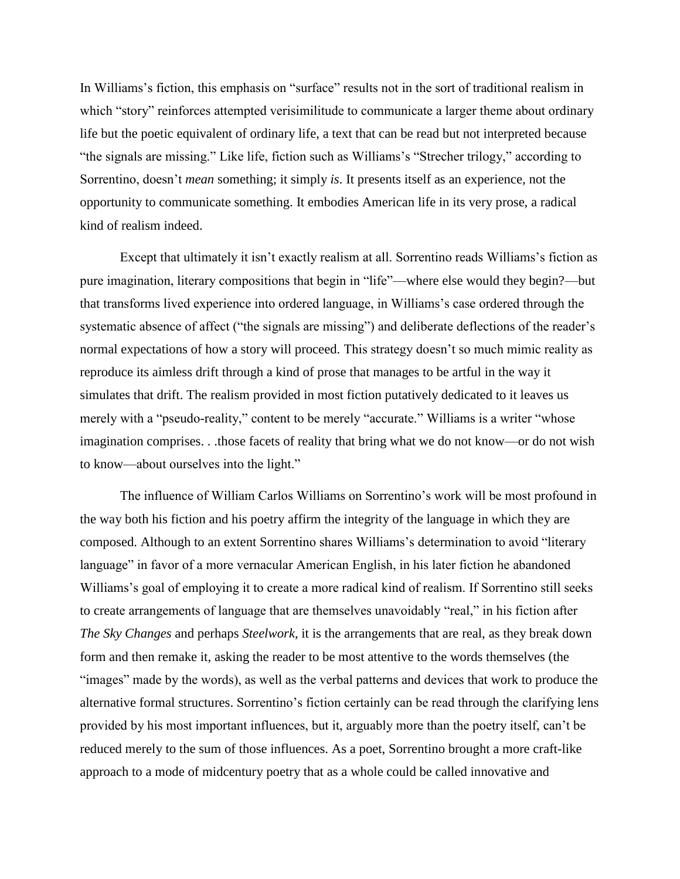In Williams's fiction, this emphasis on "surface" results not in the sort of traditional realism in which "story" reinforces attempted verisimilitude to communicate a larger theme about ordinary life but the poetic equivalent of ordinary life, a text that can be read but not interpreted because "the signals are missing." Like life, fiction such as Williams's "Strecher trilogy," according to Sorrentino, doesn't *mean* something; it simply *is*. It presents itself as an experience, not the opportunity to communicate something. It embodies American life in its very prose, a radical kind of realism indeed.

Except that ultimately it isn't exactly realism at all. Sorrentino reads Williams's fiction as pure imagination, literary compositions that begin in "life"—where else would they begin?—but that transforms lived experience into ordered language, in Williams's case ordered through the systematic absence of affect ("the signals are missing") and deliberate deflections of the reader's normal expectations of how a story will proceed. This strategy doesn't so much mimic reality as reproduce its aimless drift through a kind of prose that manages to be artful in the way it simulates that drift. The realism provided in most fiction putatively dedicated to it leaves us merely with a "pseudo-reality," content to be merely "accurate." Williams is a writer "whose imagination comprises. . .those facets of reality that bring what we do not know—or do not wish to know—about ourselves into the light."

The influence of William Carlos Williams on Sorrentino's work will be most profound in the way both his fiction and his poetry affirm the integrity of the language in which they are composed. Although to an extent Sorrentino shares Williams's determination to avoid "literary language" in favor of a more vernacular American English, in his later fiction he abandoned Williams's goal of employing it to create a more radical kind of realism. If Sorrentino still seeks to create arrangements of language that are themselves unavoidably "real," in his fiction after *The Sky Changes* and perhaps *Steelwork*, it is the arrangements that are real, as they break down form and then remake it, asking the reader to be most attentive to the words themselves (the "images" made by the words), as well as the verbal patterns and devices that work to produce the alternative formal structures. Sorrentino's fiction certainly can be read through the clarifying lens provided by his most important influences, but it, arguably more than the poetry itself, can't be reduced merely to the sum of those influences. As a poet, Sorrentino brought a more craft-like approach to a mode of midcentury poetry that as a whole could be called innovative and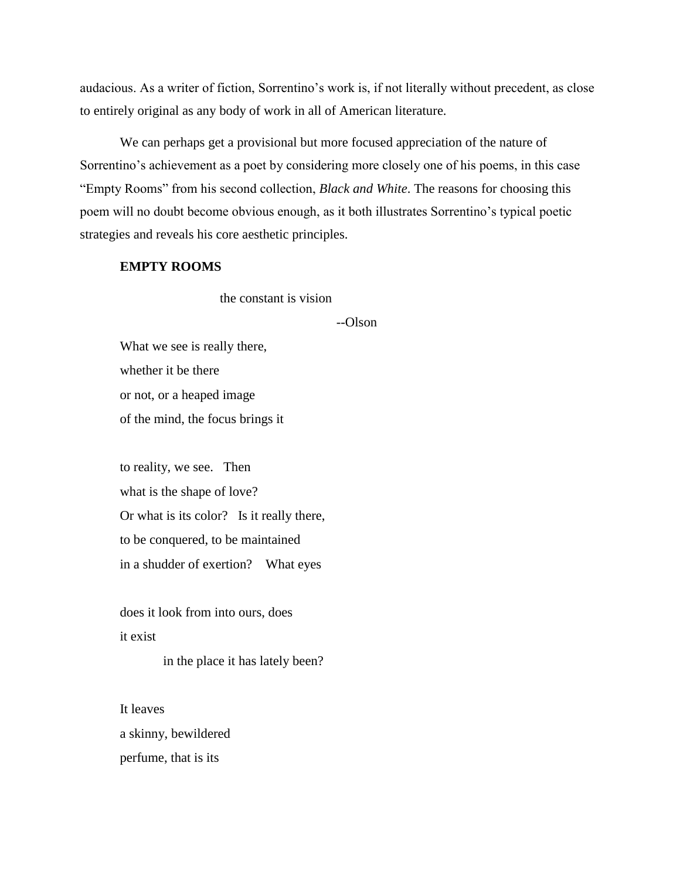audacious. As a writer of fiction, Sorrentino's work is, if not literally without precedent, as close to entirely original as any body of work in all of American literature.

We can perhaps get a provisional but more focused appreciation of the nature of Sorrentino's achievement as a poet by considering more closely one of his poems, in this case "Empty Rooms" from his second collection, *Black and White*. The reasons for choosing this poem will no doubt become obvious enough, as it both illustrates Sorrentino's typical poetic strategies and reveals his core aesthetic principles.

## **EMPTY ROOMS**

the constant is vision

## --Olson

What we see is really there, whether it be there or not, or a heaped image of the mind, the focus brings it

to reality, we see. Then what is the shape of love? Or what is its color? Is it really there, to be conquered, to be maintained in a shudder of exertion? What eyes

does it look from into ours, does it exist

in the place it has lately been?

It leaves a skinny, bewildered perfume, that is its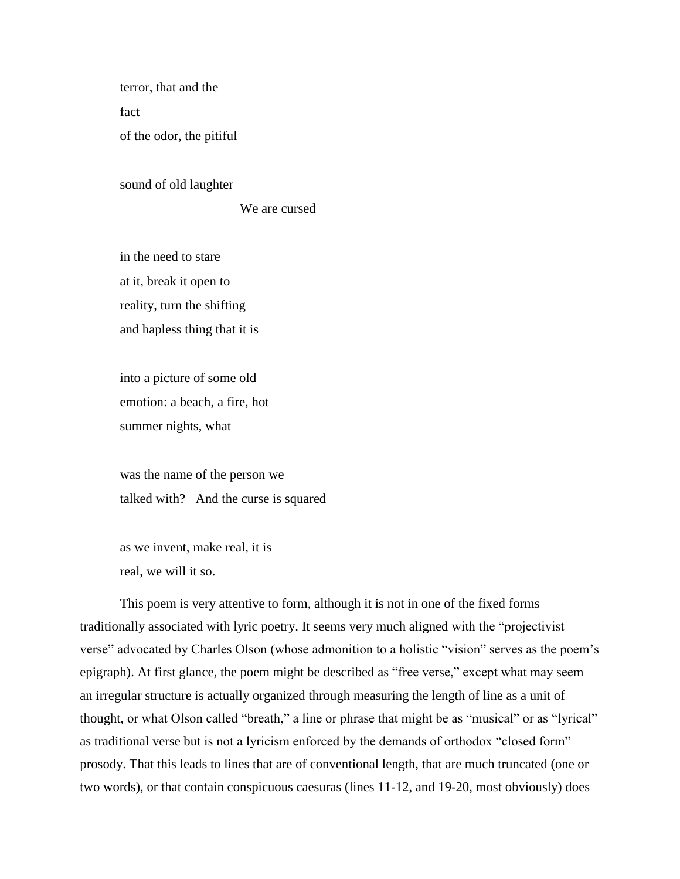terror, that and the fact of the odor, the pitiful

sound of old laughter

We are cursed

in the need to stare at it, break it open to reality, turn the shifting and hapless thing that it is

into a picture of some old emotion: a beach, a fire, hot summer nights, what

was the name of the person we talked with? And the curse is squared

as we invent, make real, it is real, we will it so.

This poem is very attentive to form, although it is not in one of the fixed forms traditionally associated with lyric poetry. It seems very much aligned with the "projectivist verse" advocated by Charles Olson (whose admonition to a holistic "vision" serves as the poem's epigraph). At first glance, the poem might be described as "free verse," except what may seem an irregular structure is actually organized through measuring the length of line as a unit of thought, or what Olson called "breath," a line or phrase that might be as "musical" or as "lyrical" as traditional verse but is not a lyricism enforced by the demands of orthodox "closed form" prosody. That this leads to lines that are of conventional length, that are much truncated (one or two words), or that contain conspicuous caesuras (lines 11-12, and 19-20, most obviously) does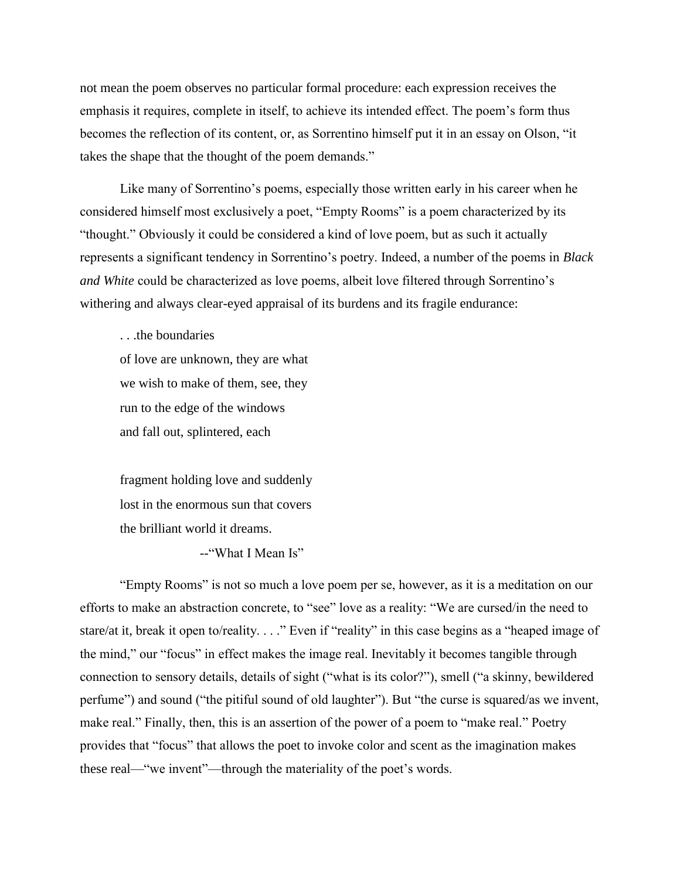not mean the poem observes no particular formal procedure: each expression receives the emphasis it requires, complete in itself, to achieve its intended effect. The poem's form thus becomes the reflection of its content, or, as Sorrentino himself put it in an essay on Olson, "it takes the shape that the thought of the poem demands."

Like many of Sorrentino's poems, especially those written early in his career when he considered himself most exclusively a poet, "Empty Rooms" is a poem characterized by its "thought." Obviously it could be considered a kind of love poem, but as such it actually represents a significant tendency in Sorrentino's poetry. Indeed, a number of the poems in *Black and White* could be characterized as love poems, albeit love filtered through Sorrentino's withering and always clear-eyed appraisal of its burdens and its fragile endurance:

. . .the boundaries

of love are unknown, they are what we wish to make of them, see, they run to the edge of the windows and fall out, splintered, each

fragment holding love and suddenly lost in the enormous sun that covers the brilliant world it dreams.

--"What I Mean Is"

"Empty Rooms" is not so much a love poem per se, however, as it is a meditation on our efforts to make an abstraction concrete, to "see" love as a reality: "We are cursed/in the need to stare/at it, break it open to/reality. . . ." Even if "reality" in this case begins as a "heaped image of the mind," our "focus" in effect makes the image real. Inevitably it becomes tangible through connection to sensory details, details of sight ("what is its color?"), smell ("a skinny, bewildered perfume") and sound ("the pitiful sound of old laughter"). But "the curse is squared/as we invent, make real." Finally, then, this is an assertion of the power of a poem to "make real." Poetry provides that "focus" that allows the poet to invoke color and scent as the imagination makes these real—"we invent"—through the materiality of the poet's words.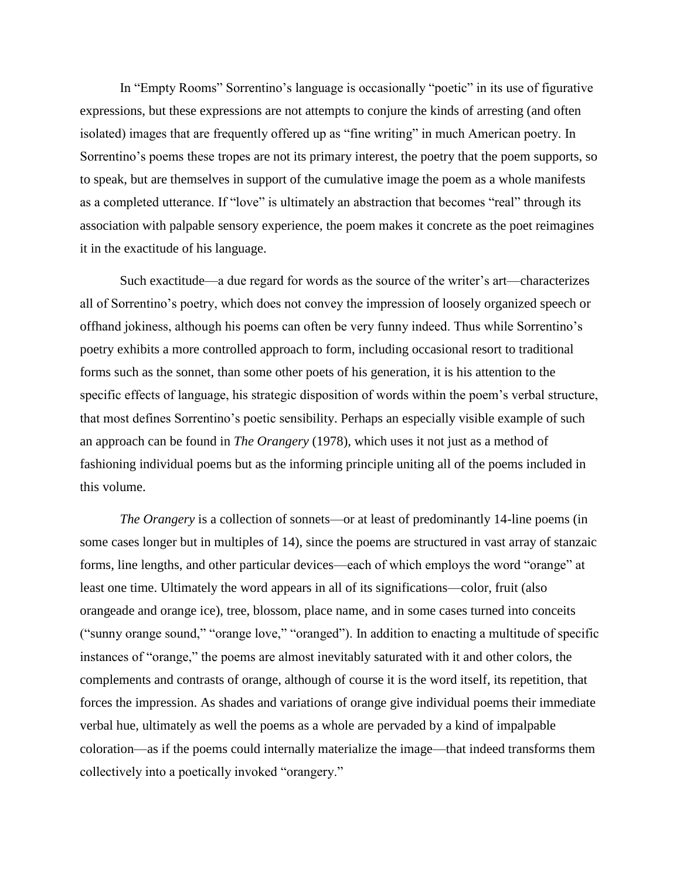In "Empty Rooms" Sorrentino's language is occasionally "poetic" in its use of figurative expressions, but these expressions are not attempts to conjure the kinds of arresting (and often isolated) images that are frequently offered up as "fine writing" in much American poetry. In Sorrentino's poems these tropes are not its primary interest, the poetry that the poem supports, so to speak, but are themselves in support of the cumulative image the poem as a whole manifests as a completed utterance. If "love" is ultimately an abstraction that becomes "real" through its association with palpable sensory experience, the poem makes it concrete as the poet reimagines it in the exactitude of his language.

Such exactitude—a due regard for words as the source of the writer's art—characterizes all of Sorrentino's poetry, which does not convey the impression of loosely organized speech or offhand jokiness, although his poems can often be very funny indeed. Thus while Sorrentino's poetry exhibits a more controlled approach to form, including occasional resort to traditional forms such as the sonnet, than some other poets of his generation, it is his attention to the specific effects of language, his strategic disposition of words within the poem's verbal structure, that most defines Sorrentino's poetic sensibility. Perhaps an especially visible example of such an approach can be found in *The Orangery* (1978), which uses it not just as a method of fashioning individual poems but as the informing principle uniting all of the poems included in this volume.

*The Orangery* is a collection of sonnets—or at least of predominantly 14-line poems (in some cases longer but in multiples of 14), since the poems are structured in vast array of stanzaic forms, line lengths, and other particular devices—each of which employs the word "orange" at least one time. Ultimately the word appears in all of its significations—color, fruit (also orangeade and orange ice), tree, blossom, place name, and in some cases turned into conceits ("sunny orange sound," "orange love," "oranged"). In addition to enacting a multitude of specific instances of "orange," the poems are almost inevitably saturated with it and other colors, the complements and contrasts of orange, although of course it is the word itself, its repetition, that forces the impression. As shades and variations of orange give individual poems their immediate verbal hue, ultimately as well the poems as a whole are pervaded by a kind of impalpable coloration—as if the poems could internally materialize the image—that indeed transforms them collectively into a poetically invoked "orangery."